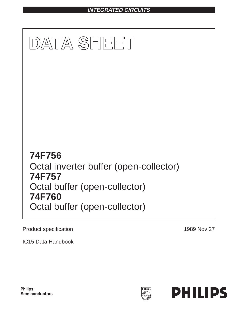# **INTEGRATED CIRCUITS**



Product specification

1989 Nov 27

IC15 Data Handbook

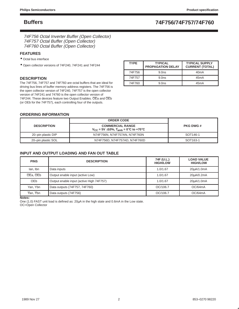74F756 Octal Inverter Buffer (Open Collector) 74F757 Octal Buffer (Open Collector) 74F760 Octal Buffer (Open Collector)

### **FEATURES**

- Octal bus interface
- Open collector versions of 74F240, 74F241 and 74F244

### **DESCRIPTION**

The 74F756, 74F757 and 74F760 are octal buffers that are ideal for driving bus lines of buffer memory address registers. The 74F756 is the open collector version of 74F240, 74F757 is the open collector version of 74F241 and 74760 is the open collector version of 74F244. These devices feature two Output Enables. OEa and OEb (or OEb for the 74F757), each controlling four of the outputs.

| <b>TYPE</b> | <b>TYPICAL</b><br><b>PROPAGATION DELAY</b> | <b>TYPICAL SUPPLY</b><br><b>CURRENT (TOTAL)</b> |
|-------------|--------------------------------------------|-------------------------------------------------|
| 74F756      | 9.0 <sub>ns</sub>                          | 40 <sub>m</sub> A                               |
| 74F757      | 9.0 <sub>ns</sub>                          | 45mA                                            |
| 74F760      | 9.0 <sub>ns</sub>                          | 45mA                                            |

### **ORDERING INFORMATION**

|                    | <b>ORDER CODE</b>                                                                       |                      |
|--------------------|-----------------------------------------------------------------------------------------|----------------------|
| <b>DESCRIPTION</b> | <b>COMMERCIAL RANGE</b><br>$V_{\rm CC}$ = 5V $\pm$ 10%, T <sub>amb</sub> = 0°C to +70°C | <b>PKG DWG #</b>     |
| 20-pin plastic DIP | N74F756N, N74F757AN, N74F760N                                                           | SOT <sub>146-1</sub> |
| 20-pin plastic SOL | N74F756D, N74F757AD, N74F760D                                                           | SOT <sub>163-1</sub> |

### **INPUT AND OUTPUT LOADING AND FAN OUT TABLE**

| <b>PINS</b>                          | <b>DESCRIPTION</b>                       | 74F (U.L.)<br><b>HIGH/LOW</b> | <b>LOAD VALUE</b><br><b>HIGH/LOW</b> |
|--------------------------------------|------------------------------------------|-------------------------------|--------------------------------------|
| lan, Ibn                             | Data inputs                              | 1.0/1.67                      | 20µA/1.0mA                           |
| OEa, OEb                             | Output enable input (active Low)         | 1.0/1.67                      | 20uA/0.2mA                           |
| OE <sub>b</sub>                      | Output enable input (active High 74F757) | 1.0/1.67                      | 20uA/1.0mA                           |
| Yan, Ybn                             | Data outputs (74F757, 74F760)            | OC/106.7                      | OC/64mA                              |
| $\overline{Y}$ an. $\overline{Y}$ bn | Data outputs (74F756)                    | OC/106.7                      | OC/64mA                              |

**Notes:**

One (1.0) FAST unit load is defined as: 20µA in the high state and 0.6mA in the Low state. OC=Open Collector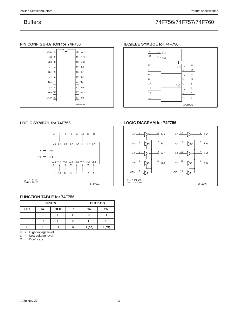### **PIN CONFIGURATION for 74F756**



### **IEC/IEEE SYMBOL for 74F756**



### **LOGIC SYMBOL for 74F756**



### **FUNCTION TABLE for 74F756**

|            | <b>INPUTS</b> | <b>OUTPUTS</b> |    |                 |           |
|------------|---------------|----------------|----|-----------------|-----------|
| <b>OEa</b> | la            | <b>OEb</b>     | lb | $\overline{Y}a$ | Yb        |
|            |               |                |    | п               |           |
|            | . .           |                |    |                 |           |
| Н          |               |                |    | $H$ (off)       | $H$ (off) |

H = High voltage level

 $L =$  Low voltage level

 $X = Don't care$ 

### **LOGIC DIAGRAM for 74F756**

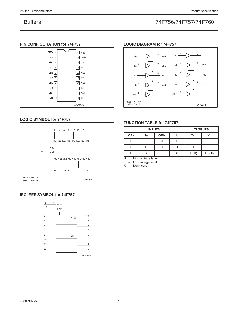## **PIN CONFIGURATION for 74F757**



### VCC = Pin 20 GND = Pin 10  $_{\text{Ia0}}$   $^{2}$ la1 $\frac{4}{5}$ 6 Ia2  $_{\text{Ia3}}$   $_{\text{B}}$ 1 18 Ya0 16 Ya1 14 12 OEa Ya2 Ya3  $1<sub>1</sub>$   $\frac{17}{1}$  $\mathsf{Ib1}$   $\overline{\phantom{1}15}$  $\frac{13}{2}$  $Ib3 \frac{11}{1}$ 19 OEb 3 Yb0 5 7 9  $- Yb1$ Yb2  $- Yb3$ SF01251

### **LOGIC SYMBOL for 74F757**



### **IEC/IEEE SYMBOL for 74F757**



### **FUNCTION TABLE for 74F757**

**LOGIC DIAGRAM for 74F757**

|     | <b>INPUTS</b> | <b>OUTPUTS</b> |    |           |           |
|-----|---------------|----------------|----|-----------|-----------|
| OEa | la            | <b>OEb</b>     | lb | Ya        | Yb        |
|     |               | Н              |    |           |           |
|     |               | Н              | п  | н         |           |
|     |               |                |    | $H$ (off) | $H$ (off) |

 $H =$  High voltage level

 $L = Low voltage level$ 

 $X = Don't care$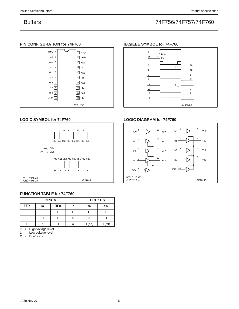### **PIN CONFIGURATION for 74F760**



### **LOGIC SYMBOL for 74F760**



### **FUNCTION TABLE for 74F760**

|     | <b>INPUTS</b> | <b>OUTPUTS</b> |    |           |           |
|-----|---------------|----------------|----|-----------|-----------|
| OEa | la            | <b>OEb</b>     | lb | Ya        | Yb        |
|     |               |                |    |           |           |
|     |               |                |    | H         |           |
|     |               |                |    | $H$ (off) | $H$ (off) |

H = High voltage level

 $L = Low voltage level$ 

 $X = Don't care$ 

### **IEC/IEEE SYMBOL for 74F760**



### **LOGIC DIAGRAM for 74F760**

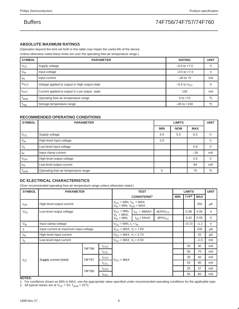### **ABSOLUTE MAXIMUM RATINGS**

(Operation beyond the limit set forth in this table may impair the useful life of the device.

Unless otherwise noted these limits are over the operating free-air temperature range.)

| <b>SYMBOL</b>               | <b>PARAMETER</b>                               | <b>RATING</b>             | <b>UNIT</b> |
|-----------------------------|------------------------------------------------|---------------------------|-------------|
| $V_{\rm CC}$                | Supply voltage                                 | $-0.5$ to $+7.0$          |             |
| $V_{IN}$                    | Input voltage                                  | $-0.5$ to $+7.0$          |             |
| <sup>I</sup> IN             | Input current                                  | $-30$ to $+5$             | mA          |
| VOUT                        | Voltage applied to output in High output state | $-0.5$ to $V_{\text{CC}}$ |             |
| $I_{\text{OUT}}$            | Current applied to output in Low output state  | 128                       | mA          |
| $\mathsf{T}_{\mathsf{amb}}$ | Operating free-air temperature range           | 0 to $+70$                | $^{\circ}C$ |
| $\mathsf{T}_{\mathsf{stg}}$ | Storage temperature range                      | $-65$ to $+150$           | $^{\circ}C$ |

### **RECOMMENDED OPERATING CONDITIONS**

| <b>SYMBOL</b>    | <b>PARAMETER</b>                     |            | <b>UNIT</b> |            |              |
|------------------|--------------------------------------|------------|-------------|------------|--------------|
|                  |                                      | <b>MIN</b> | <b>NOM</b>  | <b>MAX</b> |              |
| $V_{\rm CC}$     | Supply voltage                       | 4.5        | 5.0         | 5.5        |              |
| V <sub>IH</sub>  | High-level input voltage             | 2.0        |             |            |              |
| $V_{IL}$         | Low-level input voltage              |            |             | 0.8        |              |
| $I_{IK}$         | Input clamp current                  |            |             | $-18$      | mA           |
| V <sub>OH</sub>  | High-level output voltage            |            |             | 4.5        |              |
| $I_{OL}$         | Low-level output current             |            |             | 64         | mA           |
| l <sub>amb</sub> | Operating free-air temperature range | $\Omega$   |             | 70         | $^{\circ}$ C |

### **DC ELECTRICAL CHARACTERISTICS**

(Over recommended operating free-air temperature range unless otherwise noted.)

| <b>SYMBOL</b>   | <b>PARAMETER</b>                       |                                                                   |                                                                                                   |                                  | <b>TEST</b>   |            |                  | <b>LIMITS</b> |        |    |
|-----------------|----------------------------------------|-------------------------------------------------------------------|---------------------------------------------------------------------------------------------------|----------------------------------|---------------|------------|------------------|---------------|--------|----|
|                 |                                        |                                                                   | <b>CONDITIONS1</b>                                                                                |                                  |               | <b>MIN</b> | TYP <sup>2</sup> | <b>MAX</b>    |        |    |
| $I_{OH}$        | High-level output current              | $V_{CC}$ = MIN, $V_{IL}$ = MAX,<br>$V_{IH}$ = MIN, $V_{OH}$ = MAX |                                                                                                   |                                  |               |            | 250              | μA            |        |    |
| $V_{OL}$        | Low-level output voltage               |                                                                   |                                                                                                   | $V_{CC} = MIN,$ $I_{OL} = 48MAX$ | $±10\%V_{CC}$ |            | 0.38             | 0.55          | V      |    |
|                 |                                        |                                                                   | $V_{\text{IL}} = \text{MAX},$<br>$V_{\text{IH}} = \text{MIN},$<br>$V_{\text{OL}} = 64 \text{ mA}$ | $\pm 5\%$ V <sub>CC</sub>        |               | 0.42       | 0.55             | V             |        |    |
| V <sub>IK</sub> | Input clamp voltage                    |                                                                   | $V_{CC} = MIN, I_1 = I_{IK}$                                                                      |                                  |               |            | $-0.73$          | $-1.2$        | V      |    |
| Ч.              | Input current at maximum input voltage | $V_{CC}$ = MAX, $V_1$ = 7.0V                                      |                                                                                                   |                                  |               |            | 100              | μA            |        |    |
| ŀщ              | High-level input current               |                                                                   | $V_{CC}$ = MAX, $V_1$ = 2.7V                                                                      |                                  |               |            |                  | 20            | μA     |    |
| Ι'n.            | Low-level input current                |                                                                   |                                                                                                   | $V_{CC} = MAX, V_1 = 0.5V$       |               |            |                  |               | $-1.0$ | mA |
|                 |                                        | 74F756                                                            | <b>I</b> CCH                                                                                      |                                  |               |            |                  | 20            | 30     | mA |
|                 |                                        |                                                                   | <b>ICCL</b>                                                                                       |                                  |               |            |                  | 50            | 70     | mA |
|                 | Supply current (total)                 | 74F757                                                            | <b>I</b> CCH                                                                                      | $V_{\rm CC}$ = MAX               |               |            |                  | 30            | 40     | mA |
| <sup>I</sup> CC |                                        |                                                                   | <b>I</b> CCL                                                                                      |                                  |               |            |                  | 55            | 80     | mA |
|                 |                                        | 74F760                                                            | ICCH                                                                                              |                                  |               |            | 25               | 37            | mA     |    |
|                 |                                        |                                                                   | <b>I</b> CCL                                                                                      |                                  |               |            |                  | 55            | 80     | mA |

### **NOTES:**

1. For conditions shown as MIN or MAX, use the appropriate value specified under recommended operating conditions for the applicable type.

2. All typical values are at  $V_{CC} = 5V$ ,  $T_{amb} = 25^{\circ}C$ .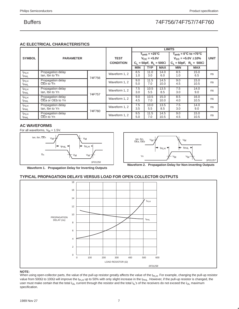### **AC ELECTRICAL CHARACTERISTICS**

|                                             |                                                            |                  |               |                                  |                   | <b>LIMITS</b> |                                  |                           |    |  |
|---------------------------------------------|------------------------------------------------------------|------------------|---------------|----------------------------------|-------------------|---------------|----------------------------------|---------------------------|----|--|
|                                             |                                                            |                  |               |                                  | $T_{amb}$ = +25°C |               |                                  | $T_{amb} = 0$ °C to +70°C |    |  |
| <b>SYMBOL</b>                               | <b>PARAMETER</b>                                           | <b>TEST</b>      |               | $V_{CC} = +5.0V$                 |                   |               | $V_{CC}$ = +5.0V $\pm$ 10%       | <b>UNIT</b>               |    |  |
|                                             |                                                            | <b>CONDITION</b> |               | $C_L = 50pF$ , $R_L = 500\Omega$ |                   |               | $C_L = 50pF$ , $R_L = 500\Omega$ |                           |    |  |
|                                             |                                                            |                  |               | <b>MIN</b>                       | <b>TYP</b>        | <b>MAX</b>    | <b>MIN</b>                       | <b>MAX</b>                |    |  |
| $t_{PLH}$<br>t <sub>PHL</sub>               | Propagation delay<br>lan. Ibn to $\overline{Y}$ n          | 74F756           | Waveform 1, 2 | 8.5<br>1.0                       | 11.0<br>3.0       | 14.0<br>6.0   | 8.5<br>1.0                       | 15.0<br>6.5               | ns |  |
| <sup>t</sup> PLH<br><sup>t</sup> PHL        | Propagation delay<br>$\overline{OE}$ n to $\overline{Y}$ n |                  | Waveform 1, 2 | 9.0<br>5.0                       | 11.5<br>7.0       | 14.5<br>10.0  | 9.0<br>4.5                       | 15.0<br>10.5              | ns |  |
| t <sub>PLH</sub><br><sup>t</sup> PHL        | Propagation delay<br>lan, Ibn to Yn                        | 74F757           | Waveform 1, 2 | 7.5<br>3.0                       | 10.5<br>5.5       | 13.5<br>8.5   | 7.5<br>3.0                       | 14.0<br>9.0               | ns |  |
| <sup>t</sup> PLH<br><b>t</b> <sub>PHL</sub> | Propagation delay<br>OEa or OEb to Yn                      |                  | Waveform 1, 2 | 9.0<br>4.5                       | 10.5<br>7.0       | 15.0<br>10.0  | 8.5<br>4.0                       | 16.0<br>10.5              | ns |  |
| $t_{PLH}$<br><sup>t</sup> PHL               | Propagation delay<br>lan. Ibn to Yn                        | 74F760           | Waveform 1, 2 | 7.5<br>3.5                       | 10.0<br>5.5       | 13.5<br>8.5   | 7.5<br>3.0                       | 14.0<br>9.0               | ns |  |
| $t_{PLH}$<br><sup>t</sup> PHL               | Propagation delay<br>OEn to Yn                             |                  | Waveform 1, 2 | 9.5<br>5.0                       | 11.5<br>7.0       | 14.5<br>10.5  | 9.0<br>4.5                       | 15.0<br>10.5              | ns |  |

### **AC WAVEFORMS**

For all waveforms,  $V_M = 1.5V$ .





**Waveform 1. Propagation Delay for Inverting Outputs**

### **TYPICAL PROPAGATION DELAYS VERSUS LOAD FOR OPEN COLLECTOR OUTPUTS**



### **NOTE:**

When using open-collector parts, the value of the pull-up resistor greatly affects the value of the t<sub>PLH</sub>. For example, changing the pull-up resistor value from 500 $\Omega$  to 100 $\Omega$  will improve the t<sub>PLH</sub> up to 50% with only slight increase in the t<sub>PHL</sub>. However, if the pull-up resistor is changed, the user must make certain that the total  $I_{OL}$  current through the resistor and the total  $I_{IL}$ 's of the receivers do not exceed the  $I_{OL}$  maximum specification.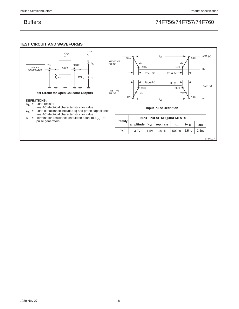### **TEST CIRCUIT AND WAVEFORMS**

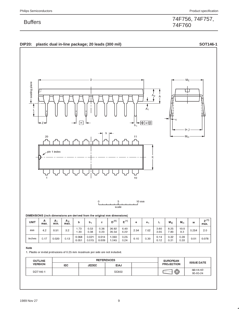### DIP20: plastic dual in-line package; 20 leads (300 mil) SOT146-1



### DIMENSIONS (inch dimensions are derived from the original mm dimensions)

| <b>UNIT</b> | А<br>max. | А.<br>min. | A <sub>2</sub><br>max. | b              | b.             | с              | $^{\prime}$<br>י' ס | $E^{(1)}$    | е    | е.   | ∽            | $M_{E}$      | $M_H$        | w     | z <sup>(1)</sup><br>max. |
|-------------|-----------|------------|------------------------|----------------|----------------|----------------|---------------------|--------------|------|------|--------------|--------------|--------------|-------|--------------------------|
| mm          | 4.2       | 0.51       | 3.2                    | 1.73<br>1.30   | 0.53<br>0.38   | 0.36<br>0.23   | 26.92<br>26.54      | 6.40<br>6.22 | 2.54 | 7.62 | 3.60<br>3.05 | 8.25<br>7.80 | 10.0<br>8.3  | 0.254 | 2.0                      |
| inches      | 0.17      | 0.020      | 0.13                   | 0.068<br>0.051 | 0.021<br>0.015 | 0.014<br>0.009 | .060<br>.045        | 0.25<br>0.24 | 0.10 | 0.30 | 0.14<br>0.12 | 0.32<br>0.31 | 0.39<br>0.33 | 0.01  | 0.078                    |

### Note

1. Plastic or metal protrusions of 0.25 mm maximum per side are not included.

| <b>OUTLINE</b> |            | <b>REFERENCES</b> | <b>EUROPEAN</b> | <b>ISSUE DATE</b> |                   |                             |  |
|----------------|------------|-------------------|-----------------|-------------------|-------------------|-----------------------------|--|
| <b>VERSION</b> | <b>IEC</b> | <b>JEDEC</b>      | <b>EIAJ</b>     |                   | <b>PROJECTION</b> |                             |  |
| SOT146-1       |            |                   | SC603           |                   | ⊕                 | $-92 - 11 - 17$<br>95-05-24 |  |

74F756, 74F757, Buffers 74F760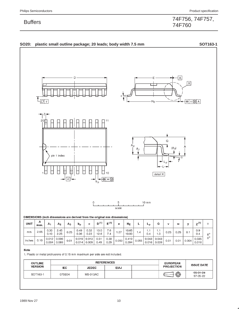## 74F756, 74F757, Buffers 74F760

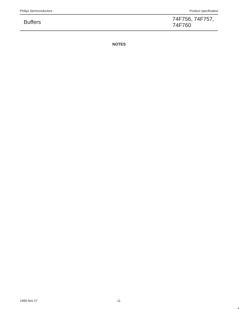74F756, 74F757, Buffers 74F760

**NOTES**